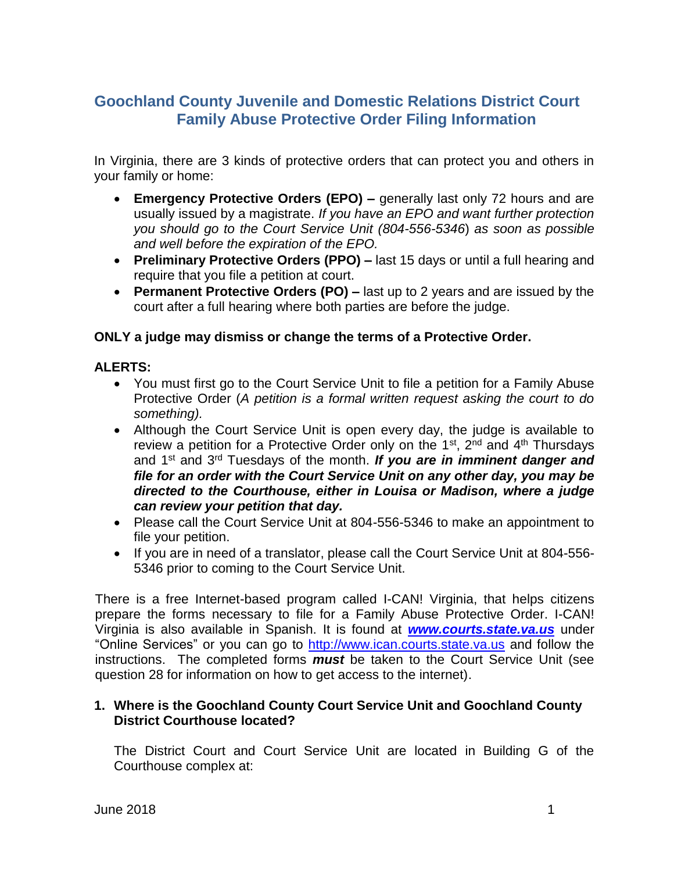# **Goochland County Juvenile and Domestic Relations District Court Family Abuse Protective Order Filing Information**

In Virginia, there are 3 kinds of protective orders that can protect you and others in your family or home:

- **Emergency Protective Orders (EPO) –** generally last only 72 hours and are usually issued by a magistrate. *If you have an EPO and want further protection you should go to the Court Service Unit (804-556-5346*) *as soon as possible and well before the expiration of the EPO.*
- **Preliminary Protective Orders (PPO) –** last 15 days or until a full hearing and require that you file a petition at court.
- **Permanent Protective Orders (PO) –** last up to 2 years and are issued by the court after a full hearing where both parties are before the judge.

## **ONLY a judge may dismiss or change the terms of a Protective Order.**

## **ALERTS:**

- You must first go to the Court Service Unit to file a petition for a Family Abuse Protective Order (*A petition is a formal written request asking the court to do something).*
- Although the Court Service Unit is open every day, the judge is available to review a petition for a Protective Order only on the 1<sup>st</sup>, 2<sup>nd</sup> and 4<sup>th</sup> Thursdays and 1st and 3rd Tuesdays of the month. *If you are in imminent danger and file for an order with the Court Service Unit on any other day, you may be directed to the Courthouse, either in Louisa or Madison, where a judge can review your petition that day.*
- Please call the Court Service Unit at 804-556-5346 to make an appointment to file your petition.
- If you are in need of a translator, please call the Court Service Unit at 804-556- 5346 prior to coming to the Court Service Unit.

There is a free Internet-based program called I-CAN! Virginia, that helps citizens prepare the forms necessary to file for a Family Abuse Protective Order. I-CAN! Virginia is also available in Spanish. It is found at *[www.courts.state.va.us](http://www.courts.state.va.us/)* under "Online Services" or you can go to [http://www.ican.courts.state.va.us](http://www.ican.courts.state.va.us/) and follow the instructions. The completed forms *must* be taken to the Court Service Unit (see question 28 for information on how to get access to the internet).

## **1. Where is the Goochland County Court Service Unit and Goochland County District Courthouse located?**

The District Court and Court Service Unit are located in Building G of the Courthouse complex at: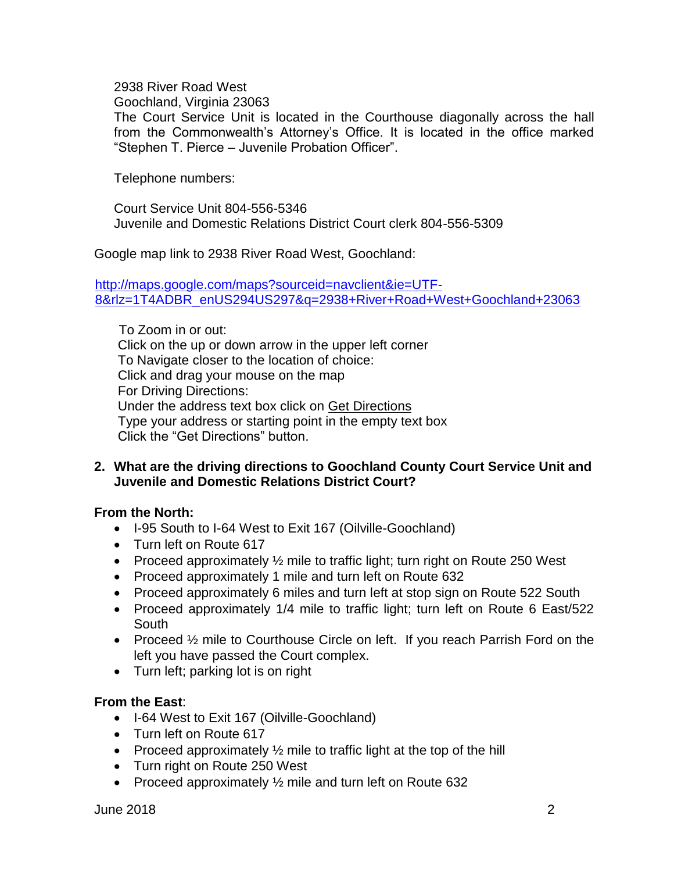2938 River Road West

Goochland, Virginia 23063

The Court Service Unit is located in the Courthouse diagonally across the hall from the Commonwealth's Attorney's Office. It is located in the office marked "Stephen T. Pierce – Juvenile Probation Officer".

Telephone numbers:

Court Service Unit 804-556-5346 Juvenile and Domestic Relations District Court clerk 804-556-5309

Google map link to 2938 River Road West, Goochland:

[http://maps.google.com/maps?sourceid=navclient&ie=UTF-](http://maps.google.com/maps?sourceid=navclient&ie=UTF-8&rlz=1T4ADBR_enUS294US297&q=2938+River+Road+West+Goochland+23063)[8&rlz=1T4ADBR\\_enUS294US297&q=2938+River+Road+West+Goochland+23063](http://maps.google.com/maps?sourceid=navclient&ie=UTF-8&rlz=1T4ADBR_enUS294US297&q=2938+River+Road+West+Goochland+23063)

To Zoom in or out: Click on the up or down arrow in the upper left corner To Navigate closer to the location of choice: Click and drag your mouse on the map For Driving Directions: Under the address text box click on Get Directions Type your address or starting point in the empty text box Click the "Get Directions" button.

## **2. What are the driving directions to Goochland County Court Service Unit and Juvenile and Domestic Relations District Court?**

## **From the North:**

- I-95 South to I-64 West to Exit 167 (Oilville-Goochland)
- Turn left on Route 617
- Proceed approximately  $\frac{1}{2}$  mile to traffic light; turn right on Route 250 West
- Proceed approximately 1 mile and turn left on Route 632
- Proceed approximately 6 miles and turn left at stop sign on Route 522 South
- Proceed approximately 1/4 mile to traffic light; turn left on Route 6 East/522 South
- Proceed 1/2 mile to Courthouse Circle on left. If you reach Parrish Ford on the left you have passed the Court complex.
- Turn left; parking lot is on right

## **From the East**:

- I-64 West to Exit 167 (Oilville-Goochland)
- Turn left on Route 617
- Proceed approximately  $\frac{1}{2}$  mile to traffic light at the top of the hill
- Turn right on Route 250 West
- Proceed approximately 1/2 mile and turn left on Route 632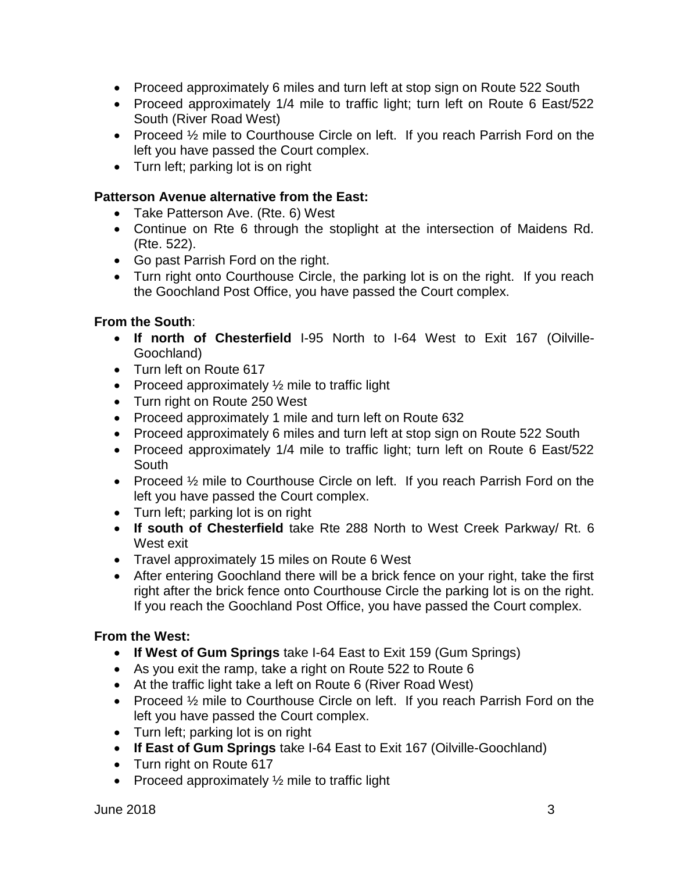- Proceed approximately 6 miles and turn left at stop sign on Route 522 South
- Proceed approximately 1/4 mile to traffic light; turn left on Route 6 East/522 South (River Road West)
- Proceed 1/2 mile to Courthouse Circle on left. If you reach Parrish Ford on the left you have passed the Court complex.
- Turn left; parking lot is on right

### **Patterson Avenue alternative from the East:**

- Take Patterson Ave. (Rte. 6) West
- Continue on Rte 6 through the stoplight at the intersection of Maidens Rd. (Rte. 522).
- Go past Parrish Ford on the right.
- Turn right onto Courthouse Circle, the parking lot is on the right. If you reach the Goochland Post Office, you have passed the Court complex.

## **From the South**:

- **If north of Chesterfield** I-95 North to I-64 West to Exit 167 (Oilville-Goochland)
- Turn left on Route 617
- Proceed approximately  $\frac{1}{2}$  mile to traffic light
- Turn right on Route 250 West
- Proceed approximately 1 mile and turn left on Route 632
- Proceed approximately 6 miles and turn left at stop sign on Route 522 South
- Proceed approximately 1/4 mile to traffic light; turn left on Route 6 East/522 South
- Proceed 1/2 mile to Courthouse Circle on left. If you reach Parrish Ford on the left you have passed the Court complex.
- Turn left; parking lot is on right
- **If south of Chesterfield** take Rte 288 North to West Creek Parkway/ Rt. 6 West exit
- Travel approximately 15 miles on Route 6 West
- After entering Goochland there will be a brick fence on your right, take the first right after the brick fence onto Courthouse Circle the parking lot is on the right. If you reach the Goochland Post Office, you have passed the Court complex.

## **From the West:**

- **If West of Gum Springs** take I-64 East to Exit 159 (Gum Springs)
- As you exit the ramp, take a right on Route 522 to Route 6
- At the traffic light take a left on Route 6 (River Road West)
- Proceed 1/2 mile to Courthouse Circle on left. If you reach Parrish Ford on the left you have passed the Court complex.
- Turn left; parking lot is on right
- **If East of Gum Springs** take I-64 East to Exit 167 (Oilville-Goochland)
- Turn right on Route 617
- Proceed approximately  $\frac{1}{2}$  mile to traffic light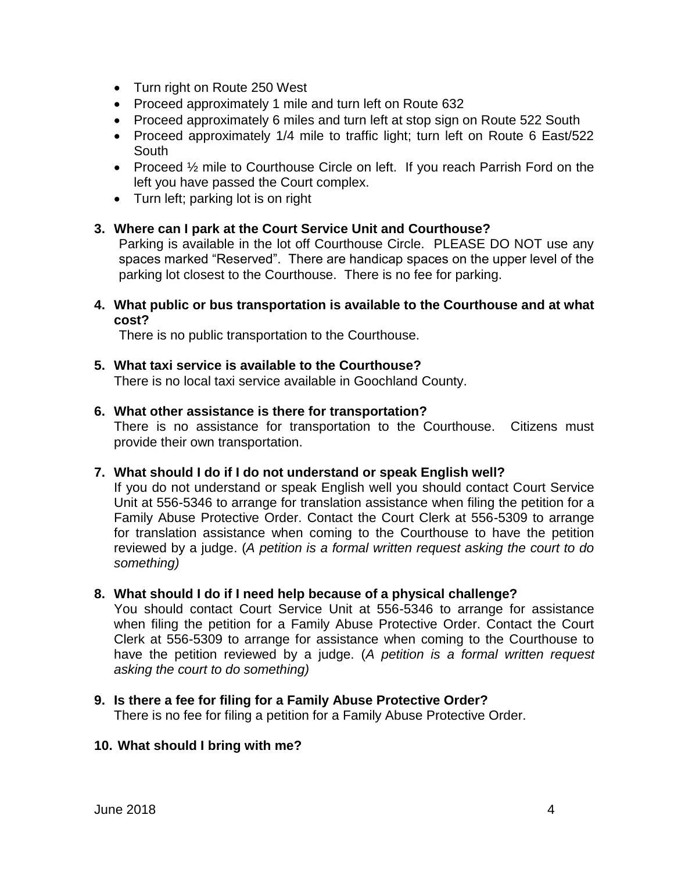- Turn right on Route 250 West
- Proceed approximately 1 mile and turn left on Route 632
- Proceed approximately 6 miles and turn left at stop sign on Route 522 South
- Proceed approximately 1/4 mile to traffic light; turn left on Route 6 East/522 South
- Proceed  $\frac{1}{2}$  mile to Courthouse Circle on left. If you reach Parrish Ford on the left you have passed the Court complex.
- Turn left; parking lot is on right

## **3. Where can I park at the Court Service Unit and Courthouse?**

Parking is available in the lot off Courthouse Circle. PLEASE DO NOT use any spaces marked "Reserved". There are handicap spaces on the upper level of the parking lot closest to the Courthouse. There is no fee for parking.

**4. What public or bus transportation is available to the Courthouse and at what cost?**

There is no public transportation to the Courthouse.

## **5. What taxi service is available to the Courthouse?**

There is no local taxi service available in Goochland County.

#### **6. What other assistance is there for transportation?**

There is no assistance for transportation to the Courthouse. Citizens must provide their own transportation.

## **7. What should I do if I do not understand or speak English well?**

If you do not understand or speak English well you should contact Court Service Unit at 556-5346 to arrange for translation assistance when filing the petition for a Family Abuse Protective Order. Contact the Court Clerk at 556-5309 to arrange for translation assistance when coming to the Courthouse to have the petition reviewed by a judge. (*A petition is a formal written request asking the court to do something)*

## **8. What should I do if I need help because of a physical challenge?**

You should contact Court Service Unit at 556-5346 to arrange for assistance when filing the petition for a Family Abuse Protective Order. Contact the Court Clerk at 556-5309 to arrange for assistance when coming to the Courthouse to have the petition reviewed by a judge. (*A petition is a formal written request asking the court to do something)*

## **9. Is there a fee for filing for a Family Abuse Protective Order?**

There is no fee for filing a petition for a Family Abuse Protective Order.

#### **10. What should I bring with me?**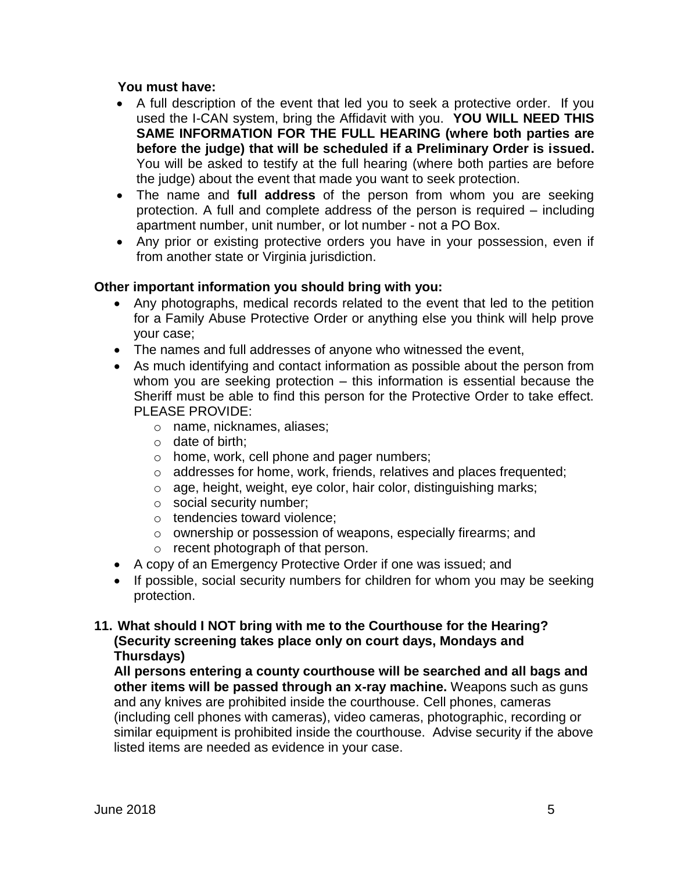## **You must have:**

- A full description of the event that led you to seek a protective order. If you used the I-CAN system, bring the Affidavit with you. **YOU WILL NEED THIS SAME INFORMATION FOR THE FULL HEARING (where both parties are before the judge) that will be scheduled if a Preliminary Order is issued.**  You will be asked to testify at the full hearing (where both parties are before the judge) about the event that made you want to seek protection.
- The name and **full address** of the person from whom you are seeking protection. A full and complete address of the person is required – including apartment number, unit number, or lot number - not a PO Box.
- Any prior or existing protective orders you have in your possession, even if from another state or Virginia jurisdiction.

## **Other important information you should bring with you:**

- Any photographs, medical records related to the event that led to the petition for a Family Abuse Protective Order or anything else you think will help prove your case;
- The names and full addresses of anyone who witnessed the event,
- As much identifying and contact information as possible about the person from whom you are seeking protection – this information is essential because the Sheriff must be able to find this person for the Protective Order to take effect. PLEASE PROVIDE:
	- o name, nicknames, aliases;
	- o date of birth;
	- o home, work, cell phone and pager numbers;
	- o addresses for home, work, friends, relatives and places frequented;
	- o age, height, weight, eye color, hair color, distinguishing marks;
	- o social security number;
	- o tendencies toward violence;
	- o ownership or possession of weapons, especially firearms; and
	- o recent photograph of that person.
- A copy of an Emergency Protective Order if one was issued; and
- If possible, social security numbers for children for whom you may be seeking protection.

## **11. What should I NOT bring with me to the Courthouse for the Hearing? (Security screening takes place only on court days, Mondays and Thursdays)**

**All persons entering a county courthouse will be searched and all bags and other items will be passed through an x-ray machine.** Weapons such as guns and any knives are prohibited inside the courthouse. Cell phones, cameras (including cell phones with cameras), video cameras, photographic, recording or similar equipment is prohibited inside the courthouse. Advise security if the above listed items are needed as evidence in your case.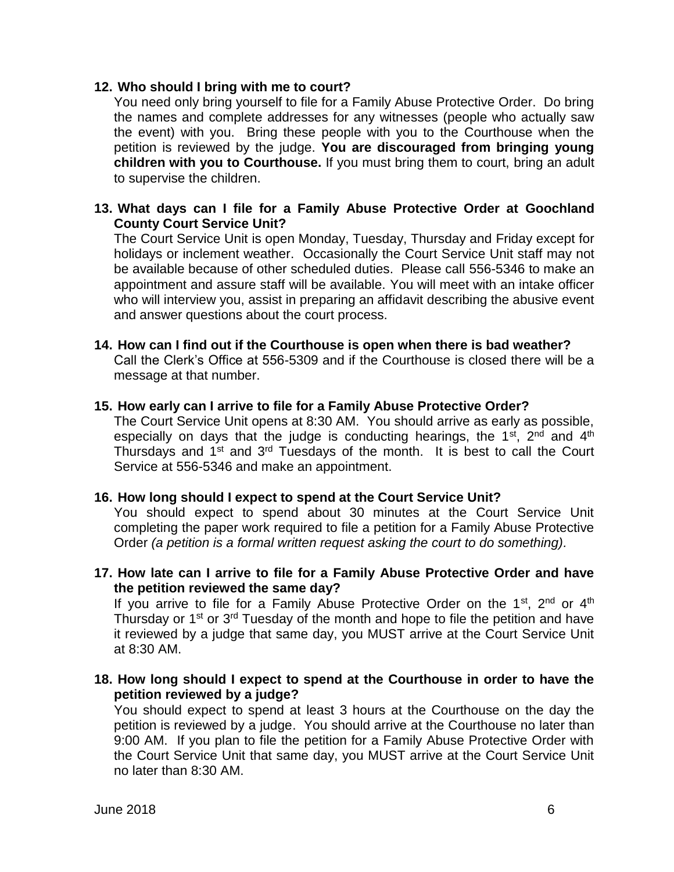#### **12. Who should I bring with me to court?**

You need only bring yourself to file for a Family Abuse Protective Order. Do bring the names and complete addresses for any witnesses (people who actually saw the event) with you. Bring these people with you to the Courthouse when the petition is reviewed by the judge. **You are discouraged from bringing young children with you to Courthouse.** If you must bring them to court, bring an adult to supervise the children.

## **13. What days can I file for a Family Abuse Protective Order at Goochland County Court Service Unit?**

The Court Service Unit is open Monday, Tuesday, Thursday and Friday except for holidays or inclement weather. Occasionally the Court Service Unit staff may not be available because of other scheduled duties. Please call 556-5346 to make an appointment and assure staff will be available. You will meet with an intake officer who will interview you, assist in preparing an affidavit describing the abusive event and answer questions about the court process.

#### **14. How can I find out if the Courthouse is open when there is bad weather?**

Call the Clerk's Office at 556-5309 and if the Courthouse is closed there will be a message at that number.

#### **15. How early can I arrive to file for a Family Abuse Protective Order?**

The Court Service Unit opens at 8:30 AM. You should arrive as early as possible, especially on days that the judge is conducting hearings, the  $1<sup>st</sup>$ ,  $2<sup>nd</sup>$  and  $4<sup>th</sup>$ Thursdays and 1<sup>st</sup> and 3<sup>rd</sup> Tuesdays of the month. It is best to call the Court Service at 556-5346 and make an appointment.

## **16. How long should I expect to spend at the Court Service Unit?**

You should expect to spend about 30 minutes at the Court Service Unit completing the paper work required to file a petition for a Family Abuse Protective Order *(a petition is a formal written request asking the court to do something).*

**17. How late can I arrive to file for a Family Abuse Protective Order and have the petition reviewed the same day?**

If you arrive to file for a Family Abuse Protective Order on the  $1<sup>st</sup>$ ,  $2<sup>nd</sup>$  or  $4<sup>th</sup>$ Thursday or 1<sup>st</sup> or 3<sup>rd</sup> Tuesday of the month and hope to file the petition and have it reviewed by a judge that same day, you MUST arrive at the Court Service Unit at 8:30 AM.

**18. How long should I expect to spend at the Courthouse in order to have the petition reviewed by a judge?**

You should expect to spend at least 3 hours at the Courthouse on the day the petition is reviewed by a judge. You should arrive at the Courthouse no later than 9:00 AM. If you plan to file the petition for a Family Abuse Protective Order with the Court Service Unit that same day, you MUST arrive at the Court Service Unit no later than 8:30 AM.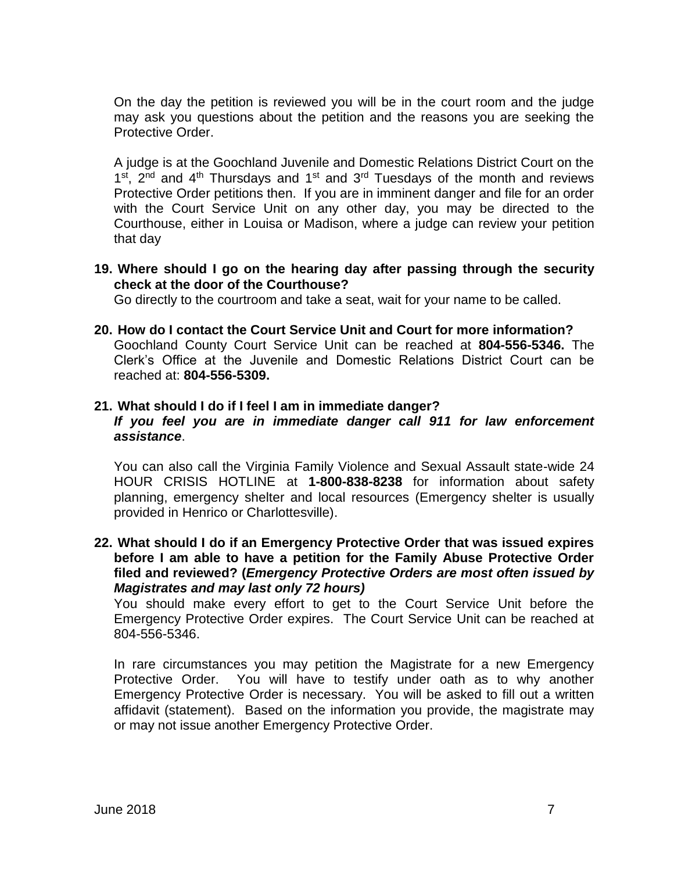On the day the petition is reviewed you will be in the court room and the judge may ask you questions about the petition and the reasons you are seeking the Protective Order.

A judge is at the Goochland Juvenile and Domestic Relations District Court on the 1<sup>st</sup>, 2<sup>nd</sup> and 4<sup>th</sup> Thursdays and 1<sup>st</sup> and 3<sup>rd</sup> Tuesdays of the month and reviews Protective Order petitions then. If you are in imminent danger and file for an order with the Court Service Unit on any other day, you may be directed to the Courthouse, either in Louisa or Madison, where a judge can review your petition that day

**19. Where should I go on the hearing day after passing through the security check at the door of the Courthouse?** 

Go directly to the courtroom and take a seat, wait for your name to be called.

**20. How do I contact the Court Service Unit and Court for more information?** Goochland County Court Service Unit can be reached at **804-556-5346.** The Clerk's Office at the Juvenile and Domestic Relations District Court can be reached at: **804-556-5309.**

#### **21. What should I do if I feel I am in immediate danger?**

#### *If you feel you are in immediate danger call 911 for law enforcement assistance*.

You can also call the Virginia Family Violence and Sexual Assault state-wide 24 HOUR CRISIS HOTLINE at **1-800-838-8238** for information about safety planning, emergency shelter and local resources (Emergency shelter is usually provided in Henrico or Charlottesville).

### **22. What should I do if an Emergency Protective Order that was issued expires before I am able to have a petition for the Family Abuse Protective Order filed and reviewed? (***Emergency Protective Orders are most often issued by Magistrates and may last only 72 hours)*

You should make every effort to get to the Court Service Unit before the Emergency Protective Order expires. The Court Service Unit can be reached at 804-556-5346.

In rare circumstances you may petition the Magistrate for a new Emergency Protective Order. You will have to testify under oath as to why another Emergency Protective Order is necessary. You will be asked to fill out a written affidavit (statement). Based on the information you provide, the magistrate may or may not issue another Emergency Protective Order.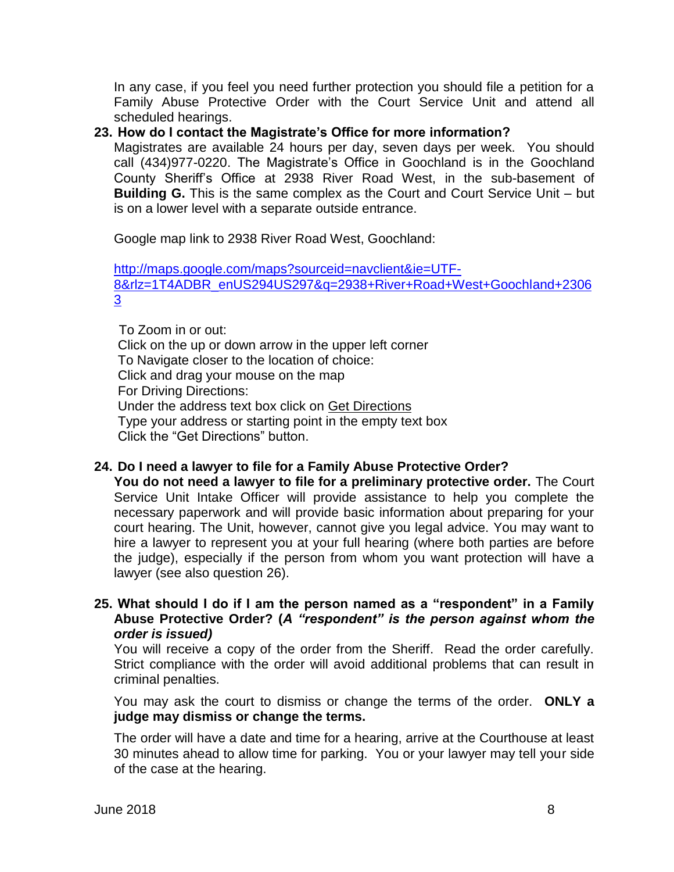In any case, if you feel you need further protection you should file a petition for a Family Abuse Protective Order with the Court Service Unit and attend all scheduled hearings.

## **23. How do I contact the Magistrate's Office for more information?**

Magistrates are available 24 hours per day, seven days per week. You should call (434)977-0220. The Magistrate's Office in Goochland is in the Goochland County Sheriff's Office at 2938 River Road West, in the sub-basement of **Building G.** This is the same complex as the Court and Court Service Unit – but is on a lower level with a separate outside entrance.

Google map link to 2938 River Road West, Goochland:

[http://maps.google.com/maps?sourceid=navclient&ie=UTF-](http://maps.google.com/maps?sourceid=navclient&ie=UTF-8&rlz=1T4ADBR_enUS294US297&q=2938+River+Road+West+Goochland+23063)[8&rlz=1T4ADBR\\_enUS294US297&q=2938+River+Road+West+Goochland+2306](http://maps.google.com/maps?sourceid=navclient&ie=UTF-8&rlz=1T4ADBR_enUS294US297&q=2938+River+Road+West+Goochland+23063) [3](http://maps.google.com/maps?sourceid=navclient&ie=UTF-8&rlz=1T4ADBR_enUS294US297&q=2938+River+Road+West+Goochland+23063)

To Zoom in or out: Click on the up or down arrow in the upper left corner To Navigate closer to the location of choice: Click and drag your mouse on the map For Driving Directions: Under the address text box click on Get Directions Type your address or starting point in the empty text box Click the "Get Directions" button.

## **24. Do I need a lawyer to file for a Family Abuse Protective Order?**

**You do not need a lawyer to file for a preliminary protective order.** The Court Service Unit Intake Officer will provide assistance to help you complete the necessary paperwork and will provide basic information about preparing for your court hearing. The Unit, however, cannot give you legal advice. You may want to hire a lawyer to represent you at your full hearing (where both parties are before the judge), especially if the person from whom you want protection will have a lawyer (see also question 26).

## **25. What should I do if I am the person named as a "respondent" in a Family Abuse Protective Order? (***A "respondent" is the person against whom the order is issued)*

You will receive a copy of the order from the Sheriff. Read the order carefully. Strict compliance with the order will avoid additional problems that can result in criminal penalties.

You may ask the court to dismiss or change the terms of the order. **ONLY a judge may dismiss or change the terms.**

The order will have a date and time for a hearing, arrive at the Courthouse at least 30 minutes ahead to allow time for parking. You or your lawyer may tell your side of the case at the hearing.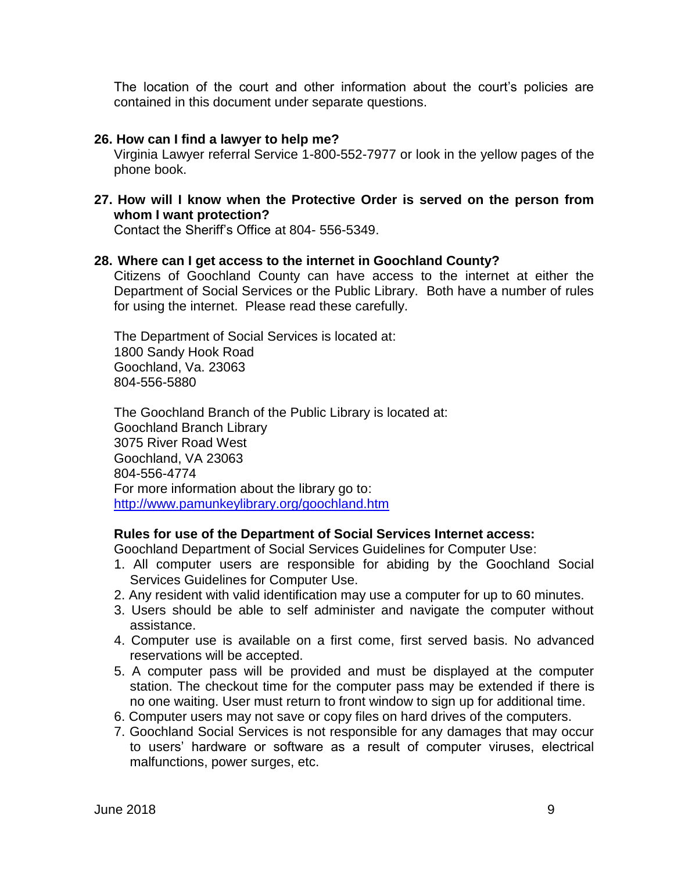The location of the court and other information about the court's policies are contained in this document under separate questions.

#### **26. How can I find a lawyer to help me?**

Virginia Lawyer referral Service 1-800-552-7977 or look in the yellow pages of the phone book.

**27. How will I know when the Protective Order is served on the person from whom I want protection?**

Contact the Sheriff's Office at 804- 556-5349.

#### **28. Where can I get access to the internet in Goochland County?**

Citizens of Goochland County can have access to the internet at either the Department of Social Services or the Public Library. Both have a number of rules for using the internet. Please read these carefully.

The Department of Social Services is located at: 1800 Sandy Hook Road Goochland, Va. 23063 804-556-5880

The Goochland Branch of the Public Library is located at: Goochland Branch Library 3075 River Road West Goochland, VA 23063 804-556-4774 For more information about the library go to: <http://www.pamunkeylibrary.org/goochland.htm>

#### **Rules for use of the Department of Social Services Internet access:**

Goochland Department of Social Services Guidelines for Computer Use:

- 1. All computer users are responsible for abiding by the Goochland Social Services Guidelines for Computer Use.
- 2. Any resident with valid identification may use a computer for up to 60 minutes.
- 3. Users should be able to self administer and navigate the computer without assistance.
- 4. Computer use is available on a first come, first served basis. No advanced reservations will be accepted.
- 5. A computer pass will be provided and must be displayed at the computer station. The checkout time for the computer pass may be extended if there is no one waiting. User must return to front window to sign up for additional time.
- 6. Computer users may not save or copy files on hard drives of the computers.
- 7. Goochland Social Services is not responsible for any damages that may occur to users' hardware or software as a result of computer viruses, electrical malfunctions, power surges, etc.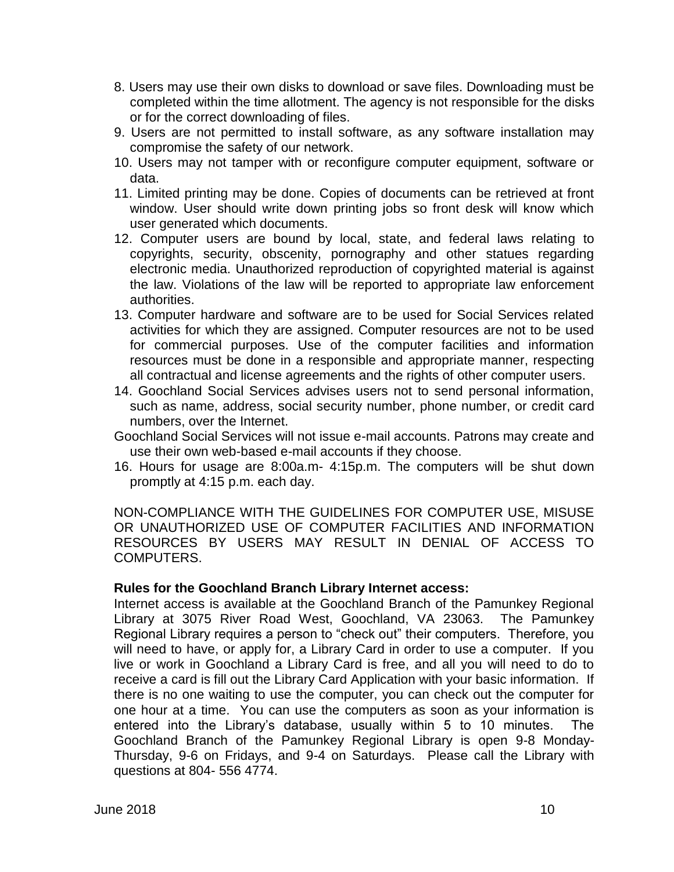- 8. Users may use their own disks to download or save files. Downloading must be completed within the time allotment. The agency is not responsible for the disks or for the correct downloading of files.
- 9. Users are not permitted to install software, as any software installation may compromise the safety of our network.
- 10. Users may not tamper with or reconfigure computer equipment, software or data.
- 11. Limited printing may be done. Copies of documents can be retrieved at front window. User should write down printing jobs so front desk will know which user generated which documents.
- 12. Computer users are bound by local, state, and federal laws relating to copyrights, security, obscenity, pornography and other statues regarding electronic media. Unauthorized reproduction of copyrighted material is against the law. Violations of the law will be reported to appropriate law enforcement authorities.
- 13. Computer hardware and software are to be used for Social Services related activities for which they are assigned. Computer resources are not to be used for commercial purposes. Use of the computer facilities and information resources must be done in a responsible and appropriate manner, respecting all contractual and license agreements and the rights of other computer users.
- 14. Goochland Social Services advises users not to send personal information, such as name, address, social security number, phone number, or credit card numbers, over the Internet.
- Goochland Social Services will not issue e-mail accounts. Patrons may create and use their own web-based e-mail accounts if they choose.
- 16. Hours for usage are 8:00a.m- 4:15p.m. The computers will be shut down promptly at 4:15 p.m. each day.

NON-COMPLIANCE WITH THE GUIDELINES FOR COMPUTER USE, MISUSE OR UNAUTHORIZED USE OF COMPUTER FACILITIES AND INFORMATION RESOURCES BY USERS MAY RESULT IN DENIAL OF ACCESS TO COMPUTERS.

#### **Rules for the Goochland Branch Library Internet access:**

Internet access is available at the Goochland Branch of the Pamunkey Regional Library at 3075 River Road West, Goochland, VA 23063. The Pamunkey Regional Library requires a person to "check out" their computers. Therefore, you will need to have, or apply for, a Library Card in order to use a computer. If you live or work in Goochland a Library Card is free, and all you will need to do to receive a card is fill out the Library Card Application with your basic information. If there is no one waiting to use the computer, you can check out the computer for one hour at a time. You can use the computers as soon as your information is entered into the Library's database, usually within 5 to 10 minutes. The Goochland Branch of the Pamunkey Regional Library is open 9-8 Monday-Thursday, 9-6 on Fridays, and 9-4 on Saturdays. Please call the Library with questions at 804- 556 4774.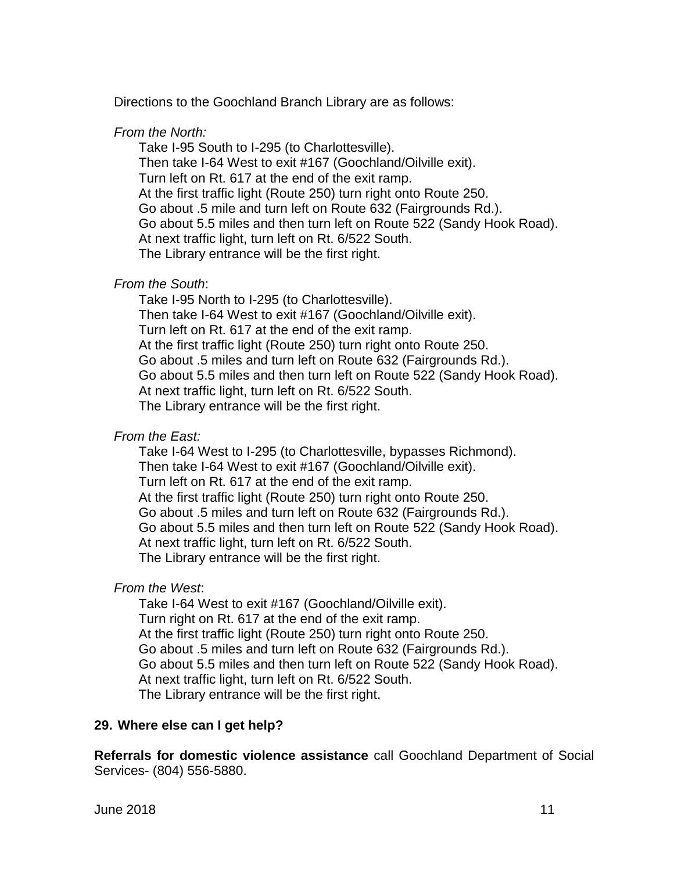Directions to the Goochland Branch Library are as follows:

## *From the North:*

Take I-95 South to I-295 (to Charlottesville). Then take I-64 West to exit #167 (Goochland/Oilville exit). Turn left on Rt. 617 at the end of the exit ramp. At the first traffic light (Route 250) turn right onto Route 250. Go about .5 mile and turn left on Route 632 (Fairgrounds Rd.). Go about 5.5 miles and then turn left on Route 522 (Sandy Hook Road). At next traffic light, turn left on Rt. 6/522 South. The Library entrance will be the first right.

## *From the South*:

Take I-95 North to I-295 (to Charlottesville). Then take I-64 West to exit #167 (Goochland/Oilville exit). Turn left on Rt. 617 at the end of the exit ramp. At the first traffic light (Route 250) turn right onto Route 250. Go about .5 miles and turn left on Route 632 (Fairgrounds Rd.). Go about 5.5 miles and then turn left on Route 522 (Sandy Hook Road). At next traffic light, turn left on Rt. 6/522 South. The Library entrance will be the first right.

## *From the East:*

Take I-64 West to I-295 (to Charlottesville, bypasses Richmond). Then take I-64 West to exit #167 (Goochland/Oilville exit). Turn left on Rt. 617 at the end of the exit ramp. At the first traffic light (Route 250) turn right onto Route 250. Go about .5 miles and turn left on Route 632 (Fairgrounds Rd.). Go about 5.5 miles and then turn left on Route 522 (Sandy Hook Road). At next traffic light, turn left on Rt. 6/522 South. The Library entrance will be the first right.

## *From the West*:

Take I-64 West to exit #167 (Goochland/Oilville exit). Turn right on Rt. 617 at the end of the exit ramp. At the first traffic light (Route 250) turn right onto Route 250. Go about .5 miles and turn left on Route 632 (Fairgrounds Rd.). Go about 5.5 miles and then turn left on Route 522 (Sandy Hook Road). At next traffic light, turn left on Rt. 6/522 South. The Library entrance will be the first right.

## **29. Where else can I get help?**

**Referrals for domestic violence assistance** call Goochland Department of Social Services- (804) 556-5880.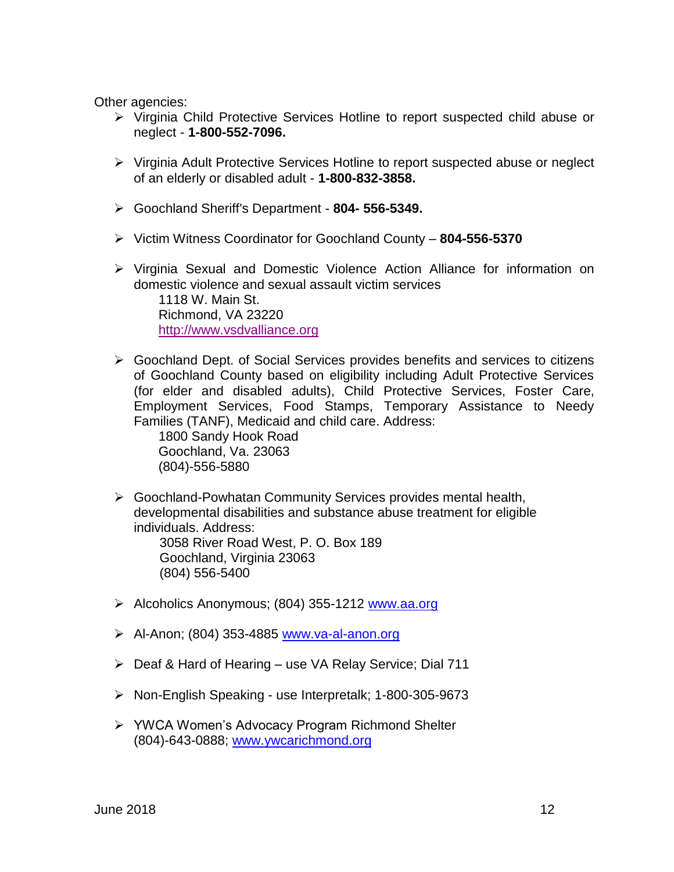Other agencies:

- Virginia Child Protective Services Hotline to report suspected child abuse or neglect - **1-800-552-7096.**
- Virginia Adult Protective Services Hotline to report suspected abuse or neglect of an elderly or disabled adult - **1-800-832-3858.**
- Goochland Sheriff's Department **804- 556-5349.**
- Victim Witness Coordinator for Goochland County **804-556-5370**
- Virginia Sexual and Domestic Violence Action Alliance for information on domestic violence and sexual assault victim services 1118 W. Main St. Richmond, VA 23220 [http://www.vsdvalliance.org](http://www.vsdvalliance.org/)
- Goochland Dept. of Social Services provides benefits and services to citizens of Goochland County based on eligibility including Adult Protective Services (for elder and disabled adults), Child Protective Services, Foster Care, Employment Services, Food Stamps, Temporary Assistance to Needy Families (TANF), Medicaid and child care. Address:

1800 Sandy Hook Road Goochland, Va. 23063 (804)-556-5880

- Goochland-Powhatan Community Services provides mental health, developmental disabilities and substance abuse treatment for eligible individuals. Address: 3058 River Road West, P. O. Box 189 Goochland, Virginia 23063 (804) 556-5400
- ≻ Alcoholics Anonymous; (804) 355-1212 <u>[www.aa.org](http://www.aa.org/)</u>
- $\triangleright$  Al-Anon; (804) 353-4885 [www.va-al-anon.org](http://www.va-al-anon.org/)
- Deaf & Hard of Hearing use VA Relay Service; Dial 711
- Non-English Speaking use Interpretalk; 1-800-305-9673
- YWCA Women's Advocacy Program Richmond Shelter (804)-643-0888; [www.ywcarichmond.org](http://www.ywcarichmond.org/)